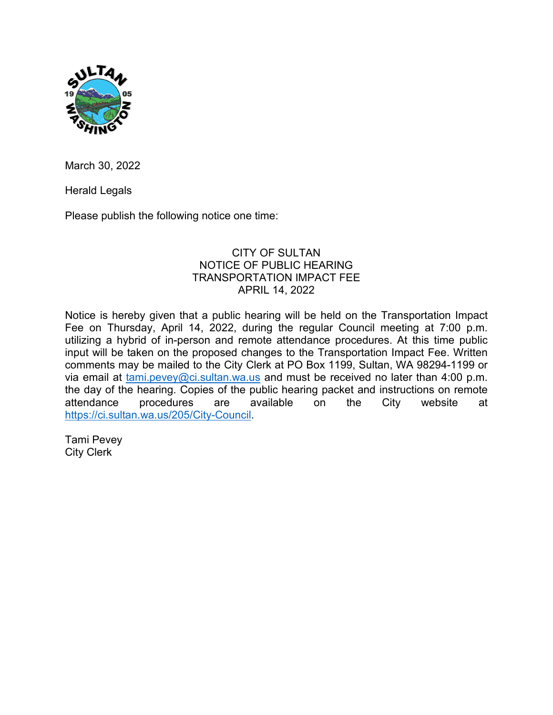

March 30, 2022

Herald Legals

Please publish the following notice one time:

## CITY OF SULTAN NOTICE OF PUBLIC HEARING TRANSPORTATION IMPACT FEE APRIL 14, 2022

Notice is hereby given that a public hearing will be held on the Transportation Impact Fee on Thursday, April 14, 2022, during the regular Council meeting at 7:00 p.m. utilizing a hybrid of in-person and remote attendance procedures. At this time public input will be taken on the proposed changes to the Transportation Impact Fee. Written comments may be mailed to the City Clerk at PO Box 1199, Sultan, WA 98294-1199 or via email at  $tami.pevey@ci.sultan.wa.us$  and must be received no later than 4:00 p.m. the day of the hearing. Copies of the public hearing packet and instructions on remote attendance procedures are available on the City website at [https://ci.sultan.wa.us/205/City-Council.](https://ci.sultan.wa.us/205/City-Council)

Tami Pevey City Clerk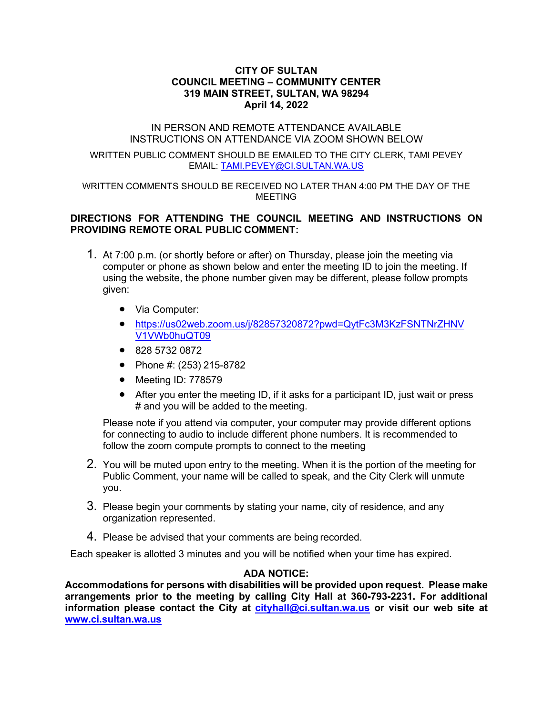#### **CITY OF SULTAN COUNCIL MEETING – COMMUNITY CENTER 319 MAIN STREET, SULTAN, WA 98294 April 14, 2022**

#### IN PERSON AND REMOTE ATTENDANCE AVAILABLE INSTRUCTIONS ON ATTENDANCE VIA ZOOM SHOWN BELOW

WRITTEN PUBLIC COMMENT SHOULD BE EMAILED TO THE CITY CLERK, TAMI PEVEY EMAIL: [TAMI.PEVEY@CI.SULTAN.WA.US](mailto:TAMI.PEVEY@CI.SULTAN.WA.US)

WRITTEN COMMENTS SHOULD BE RECEIVED NO LATER THAN 4:00 PM THE DAY OF THE MEETING

## **DIRECTIONS FOR ATTENDING THE COUNCIL MEETING AND INSTRUCTIONS ON PROVIDING REMOTE ORAL PUBLIC COMMENT:**

- 1. At 7:00 p.m. (or shortly before or after) on Thursday, please join the meeting via computer or phone as shown below and enter the meeting ID to join the meeting. If using the website, the phone number given may be different, please follow prompts given:
	- Via Computer:
	- [https://us02web.zoom.us/j/82857320872?pwd=QytFc3M3KzFSNTNrZHNV](https://us02web.zoom.us/j/82857320872?pwd=QytFc3M3KzFSNTNrZHNVV1VWb0huQT09) [V1VWb0huQT09](https://us02web.zoom.us/j/82857320872?pwd=QytFc3M3KzFSNTNrZHNVV1VWb0huQT09)
	- 828 5732 0872
	- Phone #: (253) 215-8782
	- Meeting ID: 778579
	- After you enter the meeting ID, if it asks for a participant ID, just wait or press # and you will be added to the meeting.

Please note if you attend via computer, your computer may provide different options for connecting to audio to include different phone numbers. It is recommended to follow the zoom compute prompts to connect to the meeting

- 2. You will be muted upon entry to the meeting. When it is the portion of the meeting for Public Comment, your name will be called to speak, and the City Clerk will unmute you.
- 3. Please begin your comments by stating your name, city of residence, and any organization represented.
- 4. Please be advised that your comments are being recorded.

Each speaker is allotted 3 minutes and you will be notified when your time has expired.

## **ADA NOTICE:**

**Accommodations for persons with disabilities will be provided upon request. Please make arrangements prior to the meeting by calling City Hall at 360-793-2231. For additional information please contact the City at [cityhall@ci.sultan.wa.us](mailto:cityhall@ci.sultan.wa.us) or visit our web site at [www.ci.sultan.wa.us](http://www.ci.sultan.wa.us/)**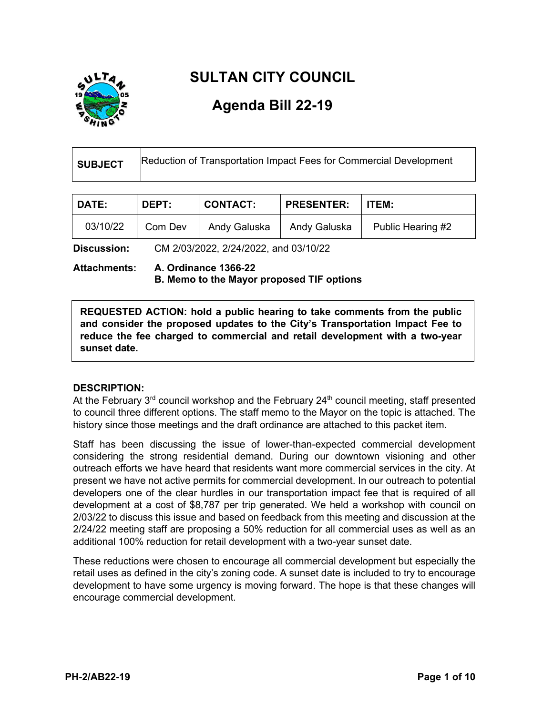

# **SULTAN CITY COUNCIL**

# **Agenda Bill 22-19**

| SUBJECT | Reduction of Transportation Impact Fees for Commercial Development |
|---------|--------------------------------------------------------------------|
|         |                                                                    |

| <b>DATE:</b> | <b>DEPT:</b> | <b>CONTACT:</b> | <b>PRESENTER:</b> | <b>I ITEM:</b>    |
|--------------|--------------|-----------------|-------------------|-------------------|
| 03/10/22     | Com Dev      | Andy Galuska    | Andy Galuska      | Public Hearing #2 |

**Discussion:** CM 2/03/2022, 2/24/2022, and 03/10/22

**Attachments: A. Ordinance 1366-22 B. Memo to the Mayor proposed TIF options**

**REQUESTED ACTION: hold a public hearing to take comments from the public and consider the proposed updates to the City's Transportation Impact Fee to reduce the fee charged to commercial and retail development with a two-year sunset date.**

## **DESCRIPTION:**

At the February  $3<sup>rd</sup>$  council workshop and the February 24<sup>th</sup> council meeting, staff presented to council three different options. The staff memo to the Mayor on the topic is attached. The history since those meetings and the draft ordinance are attached to this packet item.

Staff has been discussing the issue of lower-than-expected commercial development considering the strong residential demand. During our downtown visioning and other outreach efforts we have heard that residents want more commercial services in the city. At present we have not active permits for commercial development. In our outreach to potential developers one of the clear hurdles in our transportation impact fee that is required of all development at a cost of \$8,787 per trip generated. We held a workshop with council on 2/03/22 to discuss this issue and based on feedback from this meeting and discussion at the 2/24/22 meeting staff are proposing a 50% reduction for all commercial uses as well as an additional 100% reduction for retail development with a two-year sunset date.

These reductions were chosen to encourage all commercial development but especially the retail uses as defined in the city's zoning code. A sunset date is included to try to encourage development to have some urgency is moving forward. The hope is that these changes will encourage commercial development.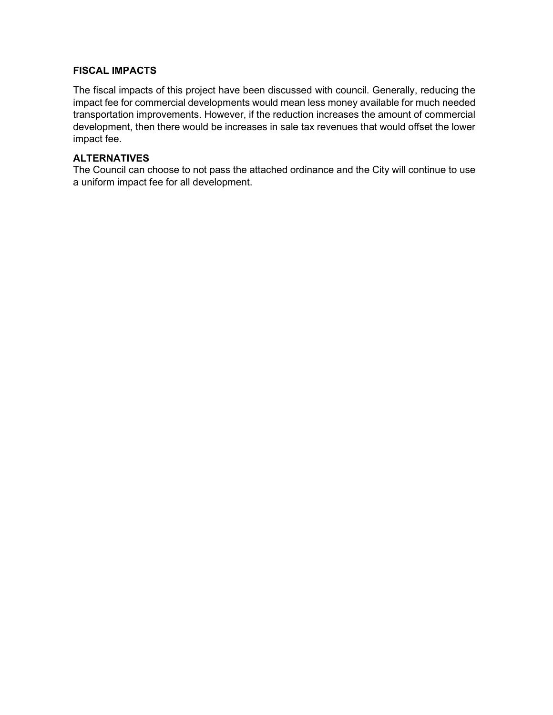## **FISCAL IMPACTS**

The fiscal impacts of this project have been discussed with council. Generally, reducing the impact fee for commercial developments would mean less money available for much needed transportation improvements. However, if the reduction increases the amount of commercial development, then there would be increases in sale tax revenues that would offset the lower impact fee.

#### **ALTERNATIVES**

The Council can choose to not pass the attached ordinance and the City will continue to use a uniform impact fee for all development.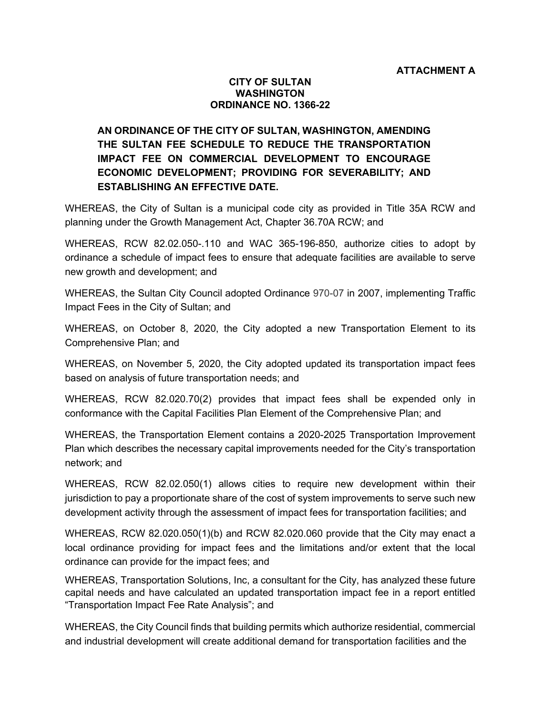#### **CITY OF SULTAN WASHINGTON ORDINANCE NO. 1366-22**

# **AN ORDINANCE OF THE CITY OF SULTAN, WASHINGTON, AMENDING THE SULTAN FEE SCHEDULE TO REDUCE THE TRANSPORTATION IMPACT FEE ON COMMERCIAL DEVELOPMENT TO ENCOURAGE ECONOMIC DEVELOPMENT; PROVIDING FOR SEVERABILITY; AND ESTABLISHING AN EFFECTIVE DATE.**

WHEREAS, the City of Sultan is a municipal code city as provided in Title 35A RCW and planning under the Growth Management Act, Chapter 36.70A RCW; and

WHEREAS, RCW 82.02.050-.110 and WAC 365-196-850, authorize cities to adopt by ordinance a schedule of impact fees to ensure that adequate facilities are available to serve new growth and development; and

WHEREAS, the Sultan City Council adopted Ordinance 970-07 in 2007, implementing Traffic Impact Fees in the City of Sultan; and

WHEREAS, on October 8, 2020, the City adopted a new Transportation Element to its Comprehensive Plan; and

WHEREAS, on November 5, 2020, the City adopted updated its transportation impact fees based on analysis of future transportation needs; and

WHEREAS, RCW 82.020.70(2) provides that impact fees shall be expended only in conformance with the Capital Facilities Plan Element of the Comprehensive Plan; and

WHEREAS, the Transportation Element contains a 2020-2025 Transportation Improvement Plan which describes the necessary capital improvements needed for the City's transportation network; and

WHEREAS, RCW 82.02.050(1) allows cities to require new development within their jurisdiction to pay a proportionate share of the cost of system improvements to serve such new development activity through the assessment of impact fees for transportation facilities; and

WHEREAS, RCW 82.020.050(1)(b) and RCW 82.020.060 provide that the City may enact a local ordinance providing for impact fees and the limitations and/or extent that the local ordinance can provide for the impact fees; and

WHEREAS, Transportation Solutions, Inc, a consultant for the City, has analyzed these future capital needs and have calculated an updated transportation impact fee in a report entitled "Transportation Impact Fee Rate Analysis"; and

WHEREAS, the City Council finds that building permits which authorize residential, commercial and industrial development will create additional demand for transportation facilities and the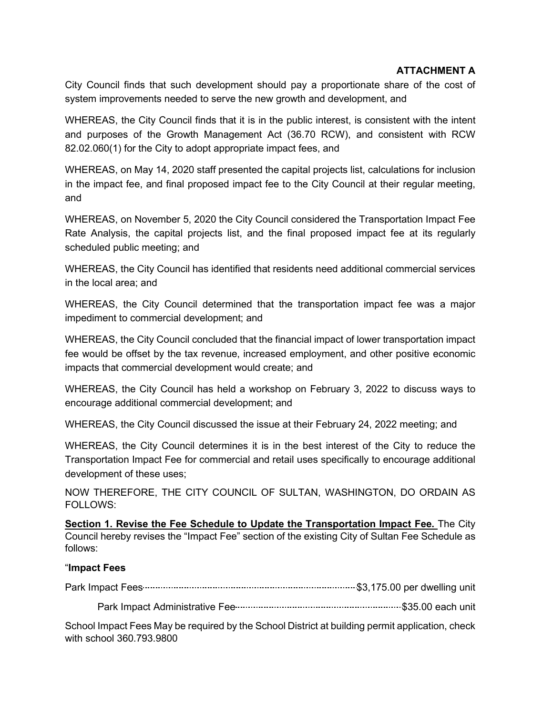## **ATTACHMENT A**

City Council finds that such development should pay a proportionate share of the cost of system improvements needed to serve the new growth and development, and

WHEREAS, the City Council finds that it is in the public interest, is consistent with the intent and purposes of the Growth Management Act (36.70 RCW), and consistent with RCW 82.02.060(1) for the City to adopt appropriate impact fees, and

WHEREAS, on May 14, 2020 staff presented the capital projects list, calculations for inclusion in the impact fee, and final proposed impact fee to the City Council at their regular meeting, and

WHEREAS, on November 5, 2020 the City Council considered the Transportation Impact Fee Rate Analysis, the capital projects list, and the final proposed impact fee at its regularly scheduled public meeting; and

WHEREAS, the City Council has identified that residents need additional commercial services in the local area; and

WHEREAS, the City Council determined that the transportation impact fee was a major impediment to commercial development; and

WHEREAS, the City Council concluded that the financial impact of lower transportation impact fee would be offset by the tax revenue, increased employment, and other positive economic impacts that commercial development would create; and

WHEREAS, the City Council has held a workshop on February 3, 2022 to discuss ways to encourage additional commercial development; and

WHEREAS, the City Council discussed the issue at their February 24, 2022 meeting; and

WHEREAS, the City Council determines it is in the best interest of the City to reduce the Transportation Impact Fee for commercial and retail uses specifically to encourage additional development of these uses;

NOW THEREFORE, THE CITY COUNCIL OF SULTAN, WASHINGTON, DO ORDAIN AS FOLLOWS:

**Section 1. Revise the Fee Schedule to Update the Transportation Impact Fee.** The City Council hereby revises the "Impact Fee" section of the existing City of Sultan Fee Schedule as follows:

## "**Impact Fees**

Park Impact Fees \$3,175.00 per dwelling unit

Park Impact Administrative Fee \$35.00 each unit

School Impact Fees May be required by the School District at building permit application, check with school 360.793.9800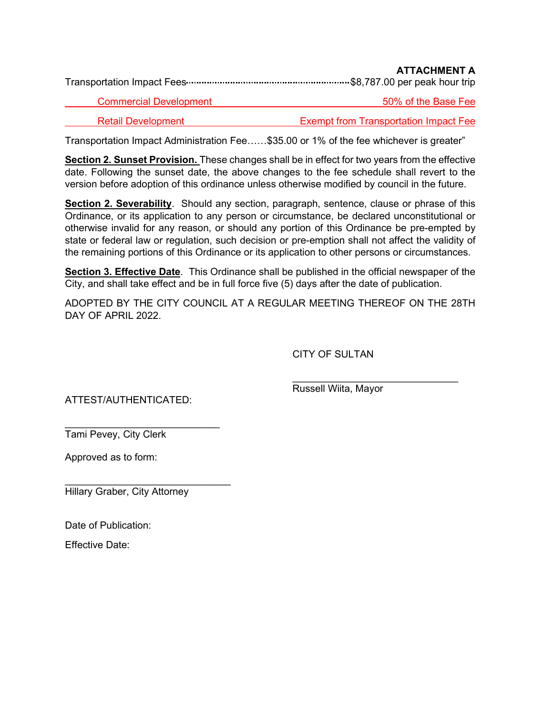|                               | ALIAVOMENI A        |
|-------------------------------|---------------------|
| <b>Commercial Development</b> | 50% of the Base Fee |

Retail Development Exempt from Transportation Impact Fee

**ATTACHMENT A**

Transportation Impact Administration Fee……\$35.00 or 1% of the fee whichever is greater"

**Section 2. Sunset Provision.** These changes shall be in effect for two years from the effective date. Following the sunset date, the above changes to the fee schedule shall revert to the version before adoption of this ordinance unless otherwise modified by council in the future.

**Section 2. Severability**. Should any section, paragraph, sentence, clause or phrase of this Ordinance, or its application to any person or circumstance, be declared unconstitutional or otherwise invalid for any reason, or should any portion of this Ordinance be pre-empted by state or federal law or regulation, such decision or pre-emption shall not affect the validity of the remaining portions of this Ordinance or its application to other persons or circumstances.

**Section 3. Effective Date**. This Ordinance shall be published in the official newspaper of the City, and shall take effect and be in full force five (5) days after the date of publication.

ADOPTED BY THE CITY COUNCIL AT A REGULAR MEETING THEREOF ON THE 28TH DAY OF APRIL 2022.

CITY OF SULTAN

ATTEST/AUTHENTICATED:

 $\overline{\phantom{a}}$  , where  $\overline{\phantom{a}}$  , where  $\overline{\phantom{a}}$  , where  $\overline{\phantom{a}}$  ,  $\overline{\phantom{a}}$  ,  $\overline{\phantom{a}}$  ,  $\overline{\phantom{a}}$  ,  $\overline{\phantom{a}}$  ,  $\overline{\phantom{a}}$  ,  $\overline{\phantom{a}}$  ,  $\overline{\phantom{a}}$  ,  $\overline{\phantom{a}}$  ,  $\overline{\phantom{a}}$  ,  $\overline{\phantom{a}}$  ,  $\overline{\phantom$ Russell Wiita, Mayor

 $\overline{\phantom{a}}$  , where  $\overline{\phantom{a}}$  , where  $\overline{\phantom{a}}$  , where  $\overline{\phantom{a}}$ Tami Pevey, City Clerk

Approved as to form:

 $\mathcal{L}_\text{max}$  , which is a set of the set of the set of the set of the set of the set of the set of the set of the set of the set of the set of the set of the set of the set of the set of the set of the set of the set of Hillary Graber, City Attorney

Date of Publication:

Effective Date: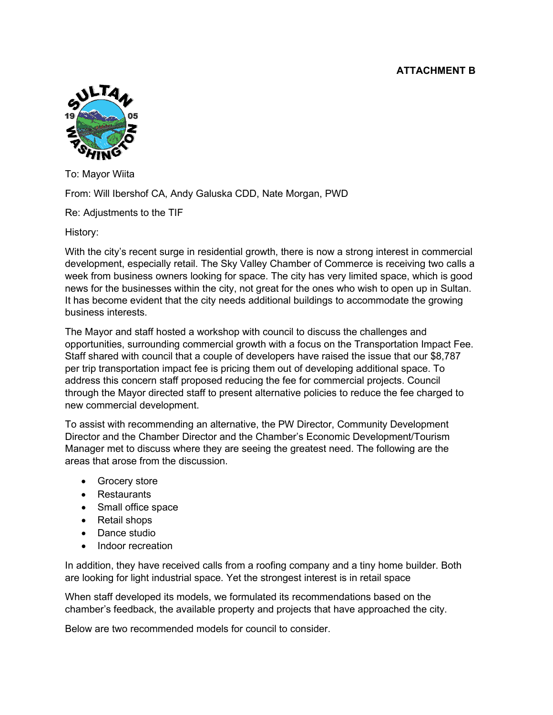## **ATTACHMENT B**



To: Mayor Wiita

From: Will Ibershof CA, Andy Galuska CDD, Nate Morgan, PWD

Re: Adjustments to the TIF

History:

With the city's recent surge in residential growth, there is now a strong interest in commercial development, especially retail. The Sky Valley Chamber of Commerce is receiving two calls a week from business owners looking for space. The city has very limited space, which is good news for the businesses within the city, not great for the ones who wish to open up in Sultan. It has become evident that the city needs additional buildings to accommodate the growing business interests.

The Mayor and staff hosted a workshop with council to discuss the challenges and opportunities, surrounding commercial growth with a focus on the Transportation Impact Fee. Staff shared with council that a couple of developers have raised the issue that our \$8,787 per trip transportation impact fee is pricing them out of developing additional space. To address this concern staff proposed reducing the fee for commercial projects. Council through the Mayor directed staff to present alternative policies to reduce the fee charged to new commercial development.

To assist with recommending an alternative, the PW Director, Community Development Director and the Chamber Director and the Chamber's Economic Development/Tourism Manager met to discuss where they are seeing the greatest need. The following are the areas that arose from the discussion.

- Grocery store
- Restaurants
- Small office space
- Retail shops
- Dance studio
- Indoor recreation

In addition, they have received calls from a roofing company and a tiny home builder. Both are looking for light industrial space. Yet the strongest interest is in retail space

When staff developed its models, we formulated its recommendations based on the chamber's feedback, the available property and projects that have approached the city.

Below are two recommended models for council to consider.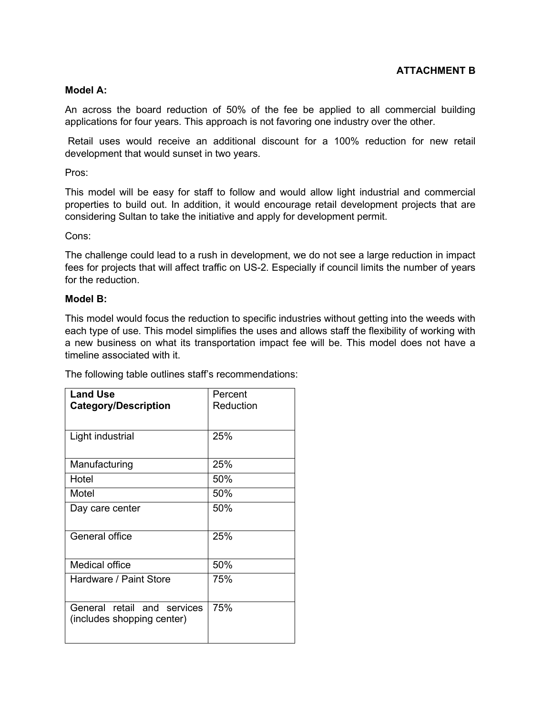## **ATTACHMENT B**

#### **Model A:**

An across the board reduction of 50% of the fee be applied to all commercial building applications for four years. This approach is not favoring one industry over the other.

Retail uses would receive an additional discount for a 100% reduction for new retail development that would sunset in two years.

Pros:

This model will be easy for staff to follow and would allow light industrial and commercial properties to build out. In addition, it would encourage retail development projects that are considering Sultan to take the initiative and apply for development permit.

#### Cons:

The challenge could lead to a rush in development, we do not see a large reduction in impact fees for projects that will affect traffic on US-2. Especially if council limits the number of years for the reduction.

#### **Model B:**

This model would focus the reduction to specific industries without getting into the weeds with each type of use. This model simplifies the uses and allows staff the flexibility of working with a new business on what its transportation impact fee will be. This model does not have a timeline associated with it.

The following table outlines staff's recommendations:

| <b>Land Use</b><br><b>Category/Description</b>            | Percent<br>Reduction |
|-----------------------------------------------------------|----------------------|
| Light industrial                                          | 25%                  |
| Manufacturing                                             | 25%                  |
| Hotel                                                     | 50%                  |
| Motel                                                     | 50%                  |
| Day care center                                           | 50%                  |
| General office                                            | 25%                  |
| Medical office                                            | 50%                  |
| Hardware / Paint Store                                    | 75%                  |
| General retail and services<br>(includes shopping center) | 75%                  |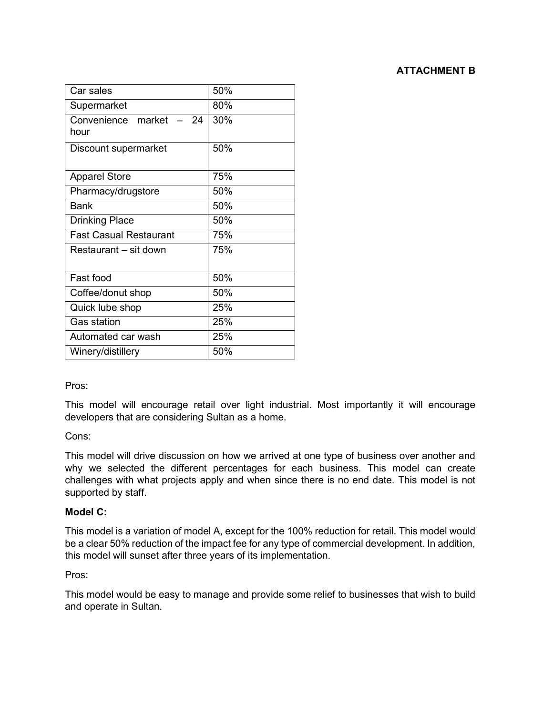| Car sales                           | 50% |
|-------------------------------------|-----|
| Supermarket                         | 80% |
| Convenience market<br>$-24$<br>hour | 30% |
| Discount supermarket                | 50% |
| <b>Apparel Store</b>                | 75% |
| Pharmacy/drugstore                  | 50% |
| <b>Bank</b>                         | 50% |
| Drinking Place                      | 50% |
| <b>Fast Casual Restaurant</b>       | 75% |
| Restaurant – sit down               | 75% |
| Fast food                           | 50% |
| Coffee/donut shop                   | 50% |
| Quick lube shop                     | 25% |
| <b>Gas station</b>                  | 25% |
| Automated car wash                  | 25% |
| Winery/distillery                   | 50% |

## Pros:

This model will encourage retail over light industrial. Most importantly it will encourage developers that are considering Sultan as a home.

## Cons:

This model will drive discussion on how we arrived at one type of business over another and why we selected the different percentages for each business. This model can create challenges with what projects apply and when since there is no end date. This model is not supported by staff.

## **Model C:**

This model is a variation of model A, except for the 100% reduction for retail. This model would be a clear 50% reduction of the impact fee for any type of commercial development. In addition, this model will sunset after three years of its implementation.

## Pros:

This model would be easy to manage and provide some relief to businesses that wish to build and operate in Sultan.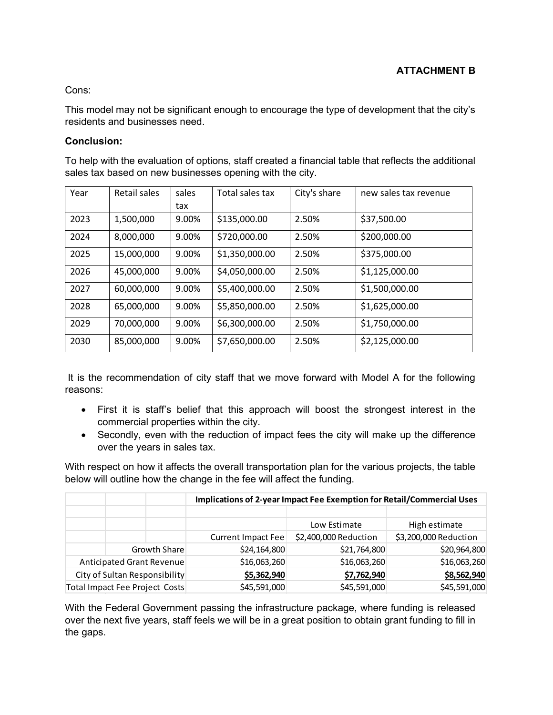## Cons:

This model may not be significant enough to encourage the type of development that the city's residents and businesses need.

## **Conclusion:**

To help with the evaluation of options, staff created a financial table that reflects the additional sales tax based on new businesses opening with the city.

| Year | Retail sales | sales | Total sales tax | City's share | new sales tax revenue |
|------|--------------|-------|-----------------|--------------|-----------------------|
|      |              | tax   |                 |              |                       |
| 2023 | 1,500,000    | 9.00% | \$135,000.00    | 2.50%        | \$37,500.00           |
| 2024 | 8,000,000    | 9.00% | \$720,000.00    | 2.50%        | \$200,000.00          |
| 2025 | 15,000,000   | 9.00% | \$1,350,000.00  | 2.50%        | \$375,000.00          |
| 2026 | 45,000,000   | 9.00% | \$4,050,000.00  | 2.50%        | \$1,125,000.00        |
| 2027 | 60,000,000   | 9.00% | \$5,400,000.00  | 2.50%        | \$1,500,000.00        |
| 2028 | 65,000,000   | 9.00% | \$5,850,000.00  | 2.50%        | \$1,625,000.00        |
| 2029 | 70,000,000   | 9.00% | \$6,300,000.00  | 2.50%        | \$1,750,000.00        |
| 2030 | 85,000,000   | 9.00% | \$7,650,000.00  | 2.50%        | \$2,125,000.00        |

It is the recommendation of city staff that we move forward with Model A for the following reasons:

- First it is staff's belief that this approach will boost the strongest interest in the commercial properties within the city.
- Secondly, even with the reduction of impact fees the city will make up the difference over the years in sales tax.

With respect on how it affects the overall transportation plan for the various projects, the table below will outline how the change in the fee will affect the funding.

|                                |              | Implications of 2-year Impact Fee Exemption for Retail/Commercial Uses |                       |                       |  |
|--------------------------------|--------------|------------------------------------------------------------------------|-----------------------|-----------------------|--|
|                                |              |                                                                        | Low Estimate          | High estimate         |  |
|                                |              | Current Impact Fee                                                     | \$2,400,000 Reduction | \$3,200,000 Reduction |  |
|                                | Growth Share | \$24,164,800                                                           | \$21,764,800          | \$20,964,800          |  |
| Anticipated Grant Revenue      |              | \$16,063,260                                                           | \$16,063,260          | \$16,063,260          |  |
| City of Sultan Responsibility  |              | \$5,362,940                                                            | \$7,762,940           | \$8,562,940           |  |
| Total Impact Fee Project Costs |              | \$45,591,000                                                           | \$45,591,000          | \$45,591,000          |  |

With the Federal Government passing the infrastructure package, where funding is released over the next five years, staff feels we will be in a great position to obtain grant funding to fill in the gaps.